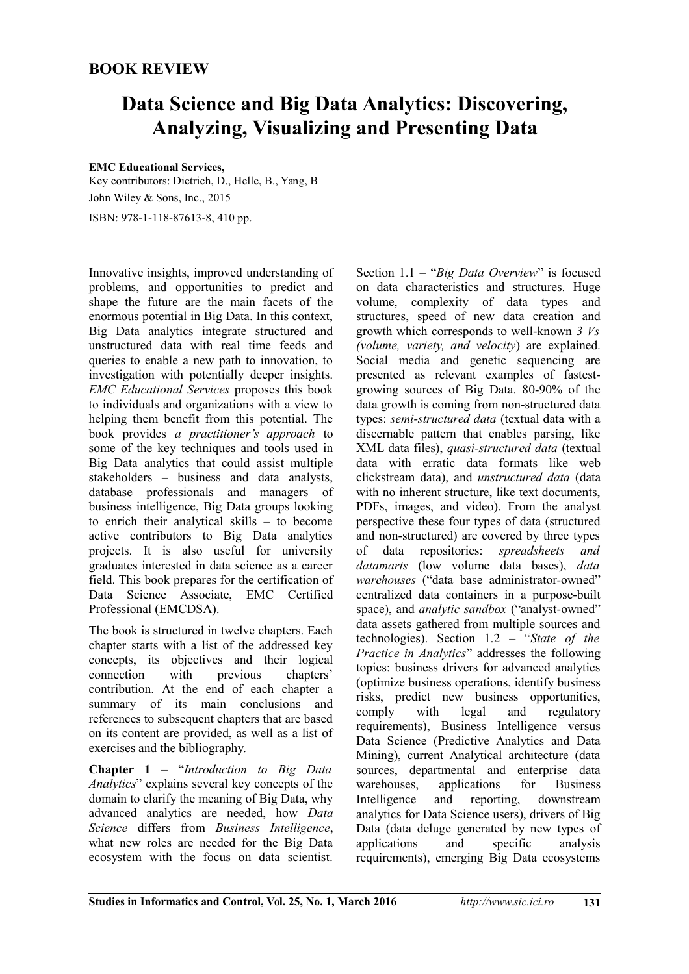## **BOOK REVIEW**

# **Data Science and Big Data Analytics: Discovering, Analyzing, Visualizing and Presenting Data**

#### **EMC Educational Services,**

Key contributors: Dietrich, D., Helle, B., Yang, B John Wiley & Sons, Inc., 2015

ISBN: 978-1-118-87613-8, 410 pp.

Innovative insights, improved understanding of problems, and opportunities to predict and shape the future are the main facets of the enormous potential in Big Data. In this context, Big Data analytics integrate structured and unstructured data with real time feeds and queries to enable a new path to innovation, to investigation with potentially deeper insights. *EMC Educational Services* proposes this book to individuals and organizations with a view to helping them benefit from this potential. The book provides *a practitioner's approach* to some of the key techniques and tools used in Big Data analytics that could assist multiple stakeholders – business and data analysts, database professionals and managers of business intelligence, Big Data groups looking to enrich their analytical skills – to become active contributors to Big Data analytics projects. It is also useful for university graduates interested in data science as a career field. This book prepares for the certification of Data Science Associate, EMC Certified Professional (EMCDSA).

The book is structured in twelve chapters. Each chapter starts with a list of the addressed key concepts, its objectives and their logical connection with previous chapters' contribution. At the end of each chapter a summary of its main conclusions and references to subsequent chapters that are based on its content are provided, as well as a list of exercises and the bibliography.

**Chapter 1** – "*Introduction to Big Data Analytics*" explains several key concepts of the domain to clarify the meaning of Big Data, why advanced analytics are needed, how *Data Science* differs from *Business Intelligence*, what new roles are needed for the Big Data ecosystem with the focus on data scientist.

Section 1.1 – "*Big Data Overview*" is focused on data characteristics and structures. Huge volume, complexity of data types and structures, speed of new data creation and growth which corresponds to well-known *3 Vs (volume, variety, and velocity*) are explained. Social media and genetic sequencing are presented as relevant examples of fastestgrowing sources of Big Data. 80-90% of the data growth is coming from non-structured data types: *semi-structured data* (textual data with a discernable pattern that enables parsing, like XML data files), *quasi-structured data* (textual data with erratic data formats like web clickstream data), and *unstructured data* (data with no inherent structure, like text documents, PDFs, images, and video). From the analyst perspective these four types of data (structured and non-structured) are covered by three types<br>of data repositories: *spreadsheets* and of data repositories: *spreadsheets and datamarts* (low volume data bases), *data warehouses* ("data base administrator-owned" centralized data containers in a purpose-built space), and *analytic sandbox* ("analyst-owned" data assets gathered from multiple sources and technologies). Section 1.2 – "*State of the Practice in Analytics*" addresses the following topics: business drivers for advanced analytics (optimize business operations, identify business risks, predict new business opportunities, comply with legal and regulatory requirements), Business Intelligence versus Data Science (Predictive Analytics and Data Mining), current Analytical architecture (data sources, departmental and enterprise data warehouses, applications for Business Intelligence and reporting, downstream analytics for Data Science users), drivers of Big Data (data deluge generated by new types of applications and specific analysis requirements), emerging Big Data ecosystems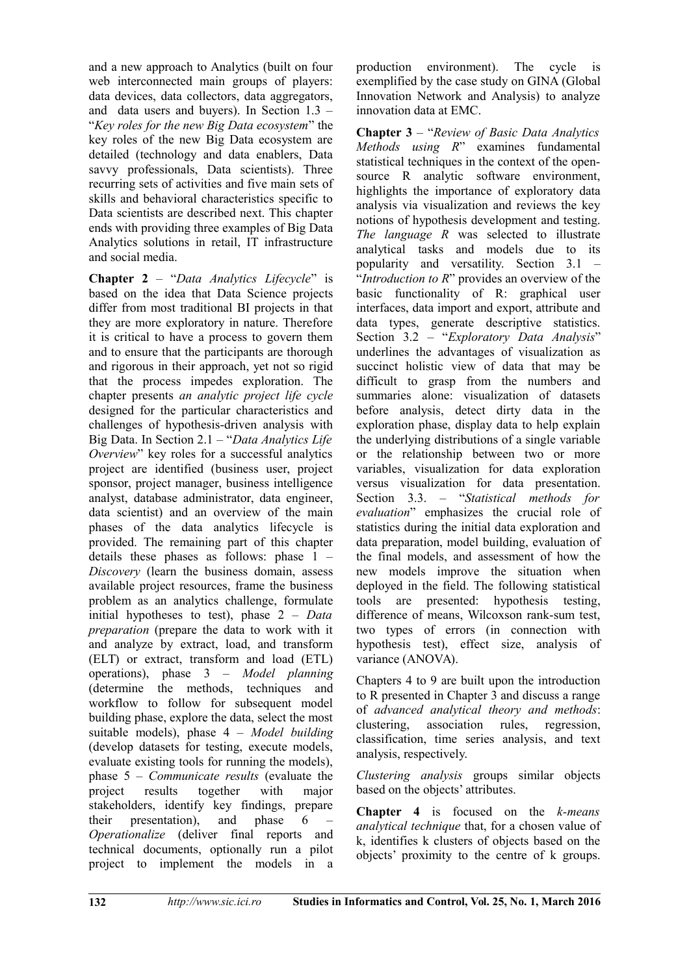and a new approach to Analytics (built on four web interconnected main groups of players: data devices, data collectors, data aggregators, and data users and buyers). In Section 1.3 – "*Key roles for the new Big Data ecosystem*" the key roles of the new Big Data ecosystem are detailed (technology and data enablers, Data savvy professionals, Data scientists). Three recurring sets of activities and five main sets of skills and behavioral characteristics specific to Data scientists are described next. This chapter ends with providing three examples of Big Data Analytics solutions in retail, IT infrastructure and social media.

**Chapter 2** – "*Data Analytics Lifecycle*" is based on the idea that Data Science projects differ from most traditional BI projects in that they are more exploratory in nature. Therefore it is critical to have a process to govern them and to ensure that the participants are thorough and rigorous in their approach, yet not so rigid that the process impedes exploration. The chapter presents *an analytic project life cycle* designed for the particular characteristics and challenges of hypothesis-driven analysis with Big Data. In Section 2.1 – "*Data Analytics Life Overview*" key roles for a successful analytics project are identified (business user, project sponsor, project manager, business intelligence analyst, database administrator, data engineer, data scientist) and an overview of the main phases of the data analytics lifecycle is provided. The remaining part of this chapter details these phases as follows: phase 1 – *Discovery* (learn the business domain, assess available project resources, frame the business problem as an analytics challenge, formulate initial hypotheses to test), phase 2 – *Data preparation* (prepare the data to work with it and analyze by extract, load, and transform (ELT) or extract, transform and load (ETL) operations), phase 3 – *Model planning* (determine the methods, techniques and workflow to follow for subsequent model building phase, explore the data, select the most suitable models), phase 4 – *Model building* (develop datasets for testing, execute models, evaluate existing tools for running the models), phase 5 – *Communicate results* (evaluate the project results together with major stakeholders, identify key findings, prepare their presentation), and phase 6 – *Operationalize* (deliver final reports and technical documents, optionally run a pilot project to implement the models in a production environment). The cycle is exemplified by the case study on GINA (Global Innovation Network and Analysis) to analyze innovation data at EMC.

**Chapter 3** – "*Review of Basic Data Analytics Methods using R*" examines fundamental statistical techniques in the context of the opensource R analytic software environment, highlights the importance of exploratory data analysis via visualization and reviews the key notions of hypothesis development and testing. *The language R* was selected to illustrate analytical tasks and models due to its popularity and versatility. Section 3.1 – "*Introduction to R*" provides an overview of the basic functionality of R: graphical user interfaces, data import and export, attribute and data types, generate descriptive statistics. Section 3.2 – "*Exploratory Data Analysis*" underlines the advantages of visualization as succinct holistic view of data that may be difficult to grasp from the numbers and summaries alone: visualization of datasets before analysis, detect dirty data in the exploration phase, display data to help explain the underlying distributions of a single variable or the relationship between two or more variables, visualization for data exploration versus visualization for data presentation. Section 3.3. – "*Statistical methods for evaluation*" emphasizes the crucial role of statistics during the initial data exploration and data preparation, model building, evaluation of the final models, and assessment of how the new models improve the situation when deployed in the field. The following statistical tools are presented: hypothesis testing, difference of means, Wilcoxson rank-sum test, two types of errors (in connection with hypothesis test), effect size, analysis of variance (ANOVA).

Chapters 4 to 9 are built upon the introduction to R presented in Chapter 3 and discuss a range of *advanced analytical theory and methods*: clustering, association rules, regression, classification, time series analysis, and text analysis, respectively.

*Clustering analysis* groups similar objects based on the objects' attributes.

**Chapter 4** is focused on the *k-means analytical technique* that, for a chosen value of k, identifies k clusters of objects based on the objects' proximity to the centre of k groups.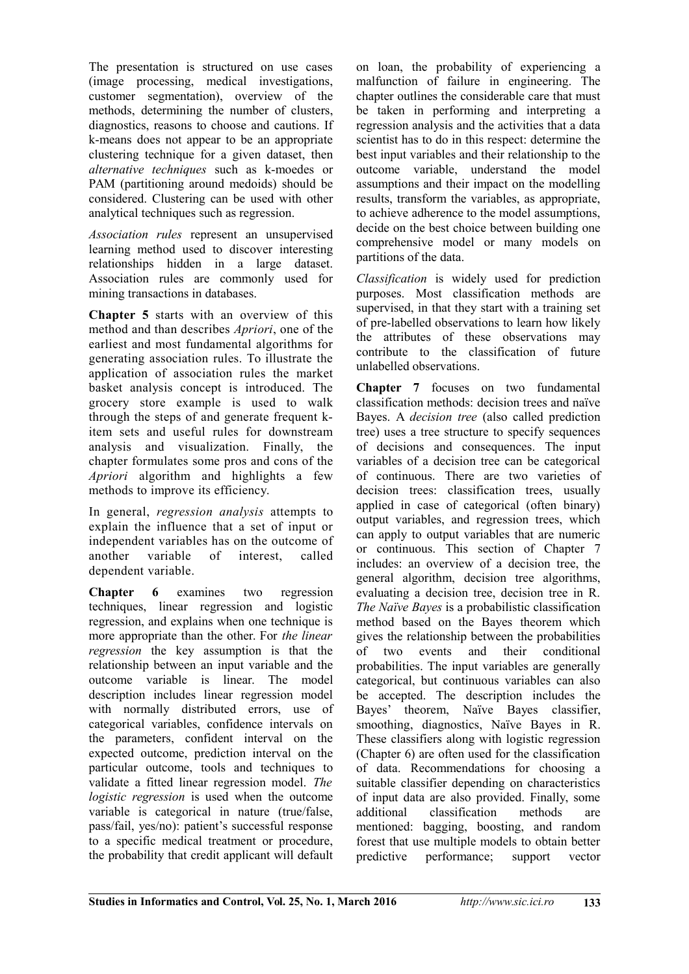The presentation is structured on use cases (image processing, medical investigations, customer segmentation), overview of the methods, determining the number of clusters, diagnostics, reasons to choose and cautions. If k-means does not appear to be an appropriate clustering technique for a given dataset, then *alternative techniques* such as k-moedes or PAM (partitioning around medoids) should be considered. Clustering can be used with other analytical techniques such as regression.

*Association rules* represent an unsupervised learning method used to discover interesting relationships hidden in a large dataset. Association rules are commonly used for mining transactions in databases.

**Chapter 5** starts with an overview of this method and than describes *Apriori*, one of the earliest and most fundamental algorithms for generating association rules. To illustrate the application of association rules the market basket analysis concept is introduced. The grocery store example is used to walk through the steps of and generate frequent kitem sets and useful rules for downstream analysis and visualization. Finally, the chapter formulates some pros and cons of the *Apriori* algorithm and highlights a few methods to improve its efficiency.

In general, *regression analysis* attempts to explain the influence that a set of input or independent variables has on the outcome of another variable of interest, called dependent variable.

**Chapter 6** examines two regression techniques, linear regression and logistic regression, and explains when one technique is more appropriate than the other. For *the linear regression* the key assumption is that the relationship between an input variable and the outcome variable is linear. The model description includes linear regression model with normally distributed errors, use of categorical variables, confidence intervals on the parameters, confident interval on the expected outcome, prediction interval on the particular outcome, tools and techniques to validate a fitted linear regression model. *The logistic regression* is used when the outcome variable is categorical in nature (true/false, pass/fail, yes/no): patient's successful response to a specific medical treatment or procedure, the probability that credit applicant will default on loan, the probability of experiencing a malfunction of failure in engineering. The chapter outlines the considerable care that must be taken in performing and interpreting a regression analysis and the activities that a data scientist has to do in this respect: determine the best input variables and their relationship to the outcome variable, understand the model assumptions and their impact on the modelling results, transform the variables, as appropriate, to achieve adherence to the model assumptions, decide on the best choice between building one comprehensive model or many models on partitions of the data.

*Classification* is widely used for prediction purposes. Most classification methods are supervised, in that they start with a training set of pre-labelled observations to learn how likely the attributes of these observations may contribute to the classification of future unlabelled observations.

**Chapter 7** focuses on two fundamental classification methods: decision trees and naïve Bayes. A *decision tree* (also called prediction tree) uses a tree structure to specify sequences of decisions and consequences. The input variables of a decision tree can be categorical of continuous. There are two varieties of decision trees: classification trees, usually applied in case of categorical (often binary) output variables, and regression trees, which can apply to output variables that are numeric or continuous. This section of Chapter 7 includes: an overview of a decision tree, the general algorithm, decision tree algorithms, evaluating a decision tree, decision tree in R. *The Naïve Bayes* is a probabilistic classification method based on the Bayes theorem which gives the relationship between the probabilities<br>of two events and their conditional of two events and their conditional probabilities. The input variables are generally categorical, but continuous variables can also be accepted. The description includes the Bayes' theorem, Naïve Bayes classifier, smoothing, diagnostics, Naïve Bayes in R. These classifiers along with logistic regression (Chapter 6) are often used for the classification of data. Recommendations for choosing a suitable classifier depending on characteristics of input data are also provided. Finally, some additional classification methods are mentioned: bagging, boosting, and random forest that use multiple models to obtain better predictive performance; support vector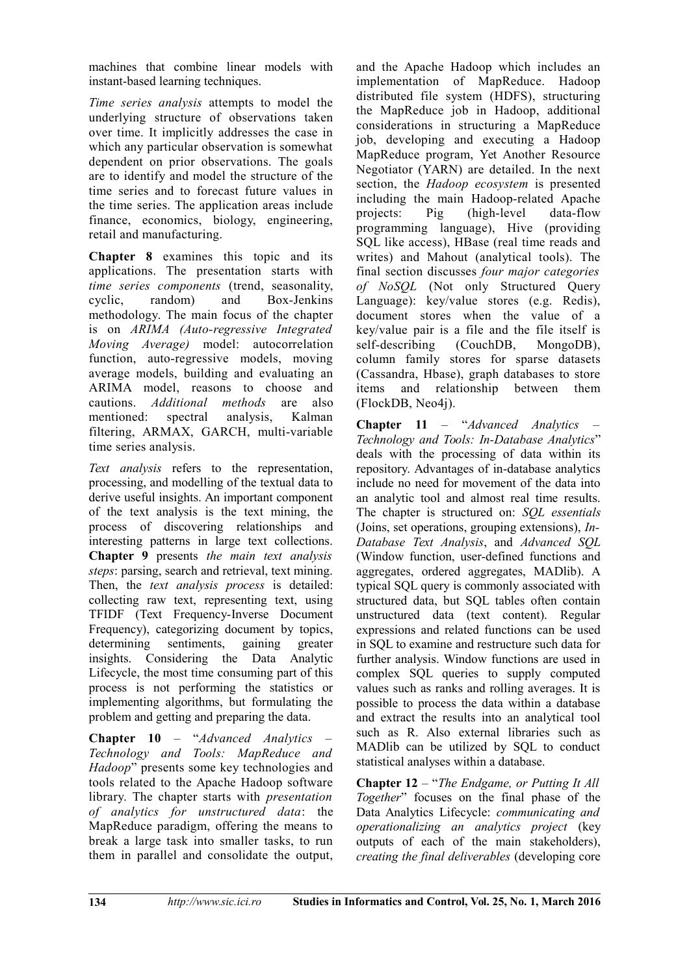machines that combine linear models with instant-based learning techniques.

*Time series analysis* attempts to model the underlying structure of observations taken over time. It implicitly addresses the case in which any particular observation is somewhat dependent on prior observations. The goals are to identify and model the structure of the time series and to forecast future values in the time series. The application areas include finance, economics, biology, engineering, retail and manufacturing.

**Chapter 8** examines this topic and its applications. The presentation starts with *time series components* (trend, seasonality, cyclic, random) and Box-Jenkins methodology. The main focus of the chapter is on *ARIMA (Auto-regressive Integrated Moving Average)* model: autocorrelation function, auto-regressive models, moving average models, building and evaluating an ARIMA model, reasons to choose and cautions. *Additional methods* are also mentioned: spectral analysis, Kalman filtering, ARMAX, GARCH, multi-variable time series analysis.

*Text analysis* refers to the representation, processing, and modelling of the textual data to derive useful insights. An important component of the text analysis is the text mining, the process of discovering relationships and interesting patterns in large text collections. **Chapter 9** presents *the main text analysis steps*: parsing, search and retrieval, text mining. Then, the *text analysis process* is detailed: collecting raw text, representing text, using TFIDF (Text Frequency-Inverse Document Frequency), categorizing document by topics, determining sentiments, gaining greater insights. Considering the Data Analytic Lifecycle, the most time consuming part of this process is not performing the statistics or implementing algorithms, but formulating the problem and getting and preparing the data.

**Chapter 10** – "*Advanced Analytics – Technology and Tools: MapReduce and Hadoop*" presents some key technologies and tools related to the Apache Hadoop software library. The chapter starts with *presentation of analytics for unstructured data*: the MapReduce paradigm, offering the means to break a large task into smaller tasks, to run them in parallel and consolidate the output,

and the Apache Hadoop which includes an implementation of MapReduce. Hadoop distributed file system (HDFS), structuring the MapReduce job in Hadoop, additional considerations in structuring a MapReduce job, developing and executing a Hadoop MapReduce program, Yet Another Resource Negotiator (YARN) are detailed. In the next section, the *Hadoop ecosystem* is presented including the main Hadoop-related Apache<br>projects: Pig (high-level data-flow projects:  $\overline{P}$  Pig (high-level programming language), Hive (providing SQL like access), HBase (real time reads and writes) and Mahout (analytical tools). The final section discusses *four major categories of NoSQL* (Not only Structured Query Language): key/value stores (e.g. Redis), document stores when the value of a key/value pair is a file and the file itself is self-describing (CouchDB, MongoDB), column family stores for sparse datasets (Cassandra, Hbase), graph databases to store items and relationship between them (FlockDB, Neo4j).

**Chapter 11** – "*Advanced Analytics – Technology and Tools: In-Database Analytics*" deals with the processing of data within its repository. Advantages of in-database analytics include no need for movement of the data into an analytic tool and almost real time results. The chapter is structured on: *SQL essentials* (Joins, set operations, grouping extensions), *In-Database Text Analysis*, and *Advanced SQL* (Window function, user-defined functions and aggregates, ordered aggregates, MADlib). A typical SQL query is commonly associated with structured data, but SQL tables often contain unstructured data (text content). Regular expressions and related functions can be used in SQL to examine and restructure such data for further analysis. Window functions are used in complex SQL queries to supply computed values such as ranks and rolling averages. It is possible to process the data within a database and extract the results into an analytical tool such as R. Also external libraries such as MADlib can be utilized by SQL to conduct statistical analyses within a database.

**Chapter 12** – "*The Endgame, or Putting It All Together*" focuses on the final phase of the Data Analytics Lifecycle: *communicating and operationalizing an analytics project* (key outputs of each of the main stakeholders), *creating the final deliverables* (developing core